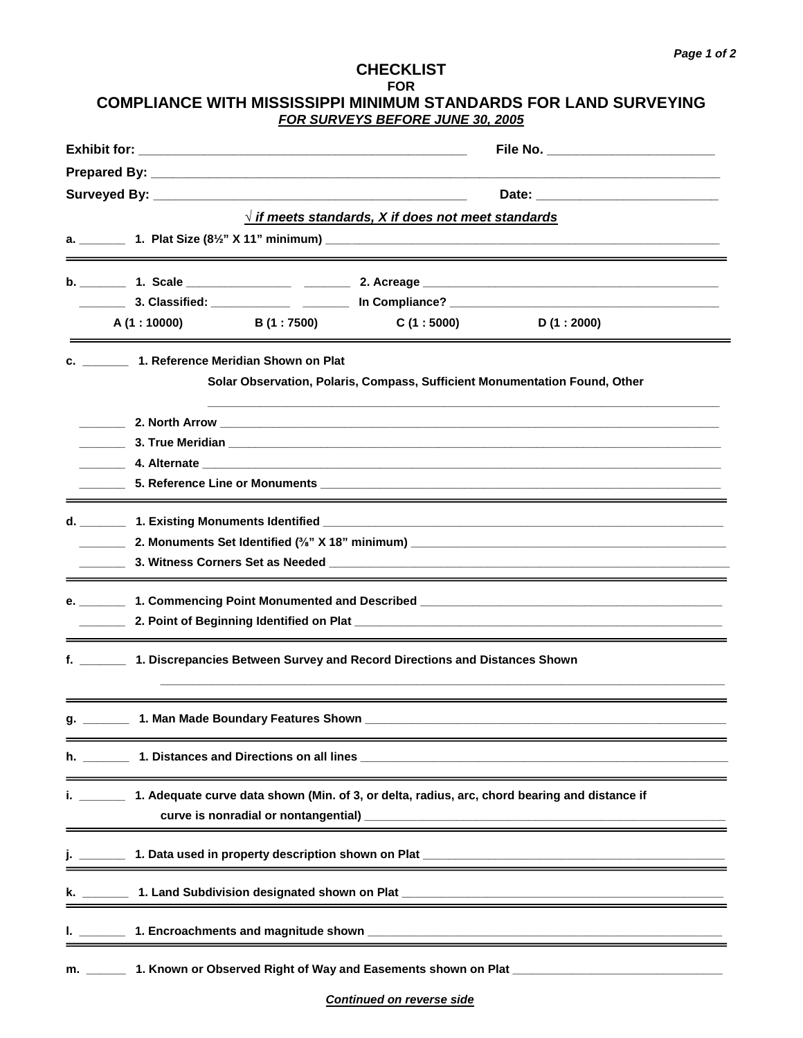## **CHECKLIST FOR COMPLIANCE WITH MISSISSIPPI MINIMUM STANDARDS FOR LAND SURVEYING FOR SURVEYS BEFORE JUNE 30, 2005**

|                          |                                                                                                                                                                                                                                                                                                                                          |  | File No. _________________________                                                     |                                                                            |  |  |
|--------------------------|------------------------------------------------------------------------------------------------------------------------------------------------------------------------------------------------------------------------------------------------------------------------------------------------------------------------------------------|--|----------------------------------------------------------------------------------------|----------------------------------------------------------------------------|--|--|
|                          |                                                                                                                                                                                                                                                                                                                                          |  |                                                                                        |                                                                            |  |  |
|                          |                                                                                                                                                                                                                                                                                                                                          |  |                                                                                        |                                                                            |  |  |
|                          |                                                                                                                                                                                                                                                                                                                                          |  | $\sqrt{ }$ if meets standards, X if does not meet standards                            |                                                                            |  |  |
|                          |                                                                                                                                                                                                                                                                                                                                          |  |                                                                                        |                                                                            |  |  |
|                          |                                                                                                                                                                                                                                                                                                                                          |  |                                                                                        |                                                                            |  |  |
|                          |                                                                                                                                                                                                                                                                                                                                          |  |                                                                                        |                                                                            |  |  |
|                          | A(1:10000)                                                                                                                                                                                                                                                                                                                               |  | $B(1:7500)$ C $(1:5000)$ D $(1:2000)$                                                  |                                                                            |  |  |
|                          | c. _________ 1. Reference Meridian Shown on Plat                                                                                                                                                                                                                                                                                         |  |                                                                                        |                                                                            |  |  |
|                          |                                                                                                                                                                                                                                                                                                                                          |  |                                                                                        | Solar Observation, Polaris, Compass, Sufficient Monumentation Found, Other |  |  |
|                          |                                                                                                                                                                                                                                                                                                                                          |  |                                                                                        |                                                                            |  |  |
|                          |                                                                                                                                                                                                                                                                                                                                          |  |                                                                                        |                                                                            |  |  |
|                          |                                                                                                                                                                                                                                                                                                                                          |  |                                                                                        |                                                                            |  |  |
|                          |                                                                                                                                                                                                                                                                                                                                          |  |                                                                                        |                                                                            |  |  |
|                          |                                                                                                                                                                                                                                                                                                                                          |  |                                                                                        |                                                                            |  |  |
|                          |                                                                                                                                                                                                                                                                                                                                          |  |                                                                                        |                                                                            |  |  |
|                          |                                                                                                                                                                                                                                                                                                                                          |  |                                                                                        |                                                                            |  |  |
|                          |                                                                                                                                                                                                                                                                                                                                          |  |                                                                                        |                                                                            |  |  |
| <b>Contract Contract</b> |                                                                                                                                                                                                                                                                                                                                          |  |                                                                                        |                                                                            |  |  |
|                          |                                                                                                                                                                                                                                                                                                                                          |  | f. _________ 1. Discrepancies Between Survey and Record Directions and Distances Shown |                                                                            |  |  |
|                          |                                                                                                                                                                                                                                                                                                                                          |  |                                                                                        |                                                                            |  |  |
|                          | g. 1. Man Made Boundary Features Shown                                                                                                                                                                                                                                                                                                   |  |                                                                                        |                                                                            |  |  |
|                          |                                                                                                                                                                                                                                                                                                                                          |  |                                                                                        |                                                                            |  |  |
|                          | 1. Adequate curve data shown (Min. of 3, or delta, radius, arc, chord bearing and distance if<br>curve is nonradial or nontangential)<br><u>Example 2014</u><br>The contract of the contract of the contract of the contract of the contract of the contract of the contract of the contract of the contract of the contract of the cont |  |                                                                                        |                                                                            |  |  |
|                          |                                                                                                                                                                                                                                                                                                                                          |  |                                                                                        |                                                                            |  |  |
|                          |                                                                                                                                                                                                                                                                                                                                          |  |                                                                                        |                                                                            |  |  |
|                          |                                                                                                                                                                                                                                                                                                                                          |  |                                                                                        |                                                                            |  |  |
| m.                       |                                                                                                                                                                                                                                                                                                                                          |  |                                                                                        |                                                                            |  |  |

**Continued on reverse side**